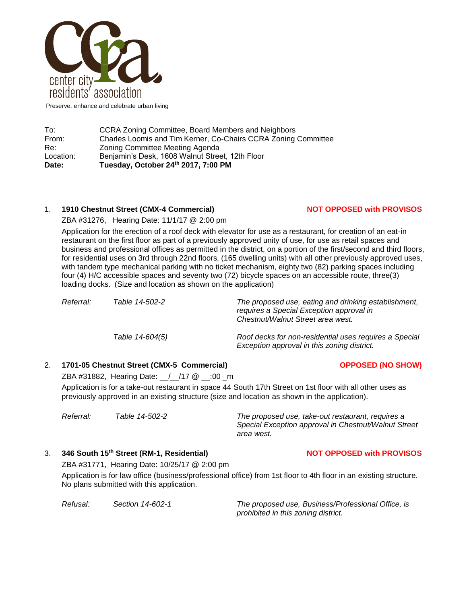

Preserve, enhance and celebrate urban living

| Date:     | Tuesday, October 24th 2017, 7:00 PM                            |
|-----------|----------------------------------------------------------------|
| Location: | Benjamin's Desk, 1608 Walnut Street, 12th Floor                |
| Re:       | Zoning Committee Meeting Agenda                                |
| From:     | Charles Loomis and Tim Kerner, Co-Chairs CCRA Zoning Committee |
| To:       | CCRA Zoning Committee, Board Members and Neighbors             |

### 1. **1910 Chestnut Street (CMX-4 Commercial) NOT OPPOSED with PROVISOS**

### ZBA #31276, Hearing Date: 11/1/17 @ 2:00 pm

Application for the erection of a roof deck with elevator for use as a restaurant, for creation of an eat-in restaurant on the first floor as part of a previously approved unity of use, for use as retail spaces and business and professional offices as permitted in the district, on a portion of the first/second and third floors, for residential uses on 3rd through 22nd floors, (165 dwelling units) with all other previously approved uses, with tandem type mechanical parking with no ticket mechanism, eighty two (82) parking spaces including four (4) H/C accessible spaces and seventy two (72) bicycle spaces on an accessible route, three(3) loading docks. (Size and location as shown on the application)

| Referral: | Table 14-502-2  | The proposed use, eating and drinking establishment,<br>requires a Special Exception approval in<br>Chestnut/Walnut Street area west. |
|-----------|-----------------|---------------------------------------------------------------------------------------------------------------------------------------|
|           | Table 14-604(5) | Roof decks for non-residential uses requires a Special<br>Exception approval in this zoning district.                                 |

### 2. **1701-05 Chestnut Street (CMX-5 Commercial) OPPOSED (NO SHOW)**

ZBA #31882, Hearing Date: \_\_/\_\_/17 @ \_\_:00 \_m

Application is for a take-out restaurant in space 44 South 17th Street on 1st floor with all other uses as previously approved in an existing structure (size and location as shown in the application).

*Referral: Table 14-502-2 The proposed use, take-out restaurant, requires a Special Exception approval in Chestnut/Walnut Street area west.*

# 3. **346 South 15th Street (RM-1, Residential) NOT OPPOSED with PROVISOS**

ZBA #31771, Hearing Date: 10/25/17 @ 2:00 pm

Application is for law office (business/professional office) from 1st floor to 4th floor in an existing structure. No plans submitted with this application.

*Refusal: Section 14-602-1 The proposed use, Business/Professional Office, is prohibited in this zoning district.*